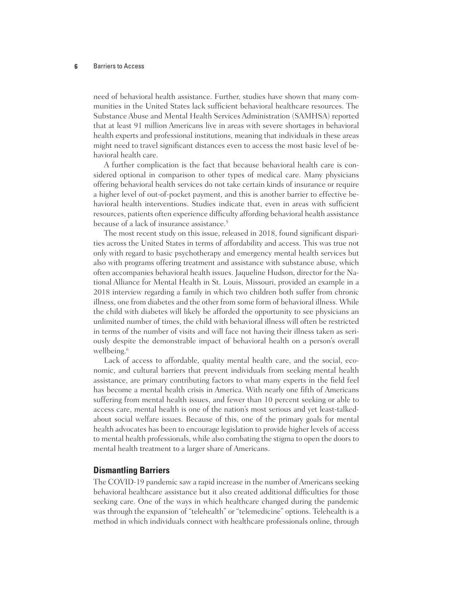#### **6** Barriers to Access

need of behavioral health assistance. Further, studies have shown that many communities in the United States lack sufficient behavioral healthcare resources. The Substance Abuse and Mental Health Services Administration (SAMHSA) reported that at least 91 million Americans live in areas with severe shortages in behavioral health experts and professional institutions, meaning that individuals in these areas might need to travel significant distances even to access the most basic level of behavioral health care.

A further complication is the fact that because behavioral health care is considered optional in comparison to other types of medical care. Many physicians offering behavioral health services do not take certain kinds of insurance or require a higher level of out-of-pocket payment, and this is another barrier to effective behavioral health interventions. Studies indicate that, even in areas with sufficient resources, patients often experience difficulty affording behavioral health assistance because of a lack of insurance assistance.<sup>5</sup>

The most recent study on this issue, released in 2018, found significant disparities across the United States in terms of affordability and access. This was true not only with regard to basic psychotherapy and emergency mental health services but also with programs offering treatment and assistance with substance abuse, which often accompanies behavioral health issues. Jaqueline Hudson, director for the National Alliance for Mental Health in St. Louis, Missouri, provided an example in a 2018 interview regarding a family in which two children both suffer from chronic illness, one from diabetes and the other from some form of behavioral illness. While the child with diabetes will likely be afforded the opportunity to see physicians an unlimited number of times, the child with behavioral illness will often be restricted in terms of the number of visits and will face not having their illness taken as seriously despite the demonstrable impact of behavioral health on a person's overall wellbeing.<sup>6</sup>

Lack of access to affordable, quality mental health care, and the social, economic, and cultural barriers that prevent individuals from seeking mental health assistance, are primary contributing factors to what many experts in the field feel has become a mental health crisis in America. With nearly one fifth of Americans suffering from mental health issues, and fewer than 10 percent seeking or able to access care, mental health is one of the nation's most serious and yet least-talkedabout social welfare issues. Because of this, one of the primary goals for mental health advocates has been to encourage legislation to provide higher levels of access to mental health professionals, while also combating the stigma to open the doors to mental health treatment to a larger share of Americans.

### **Dismantling Barriers**

The COVID-19 pandemic saw a rapid increase in the number of Americans seeking behavioral healthcare assistance but it also created additional difficulties for those seeking care. One of the ways in which healthcare changed during the pandemic was through the expansion of "telehealth" or "telemedicine" options. Telehealth is a method in which individuals connect with healthcare professionals online, through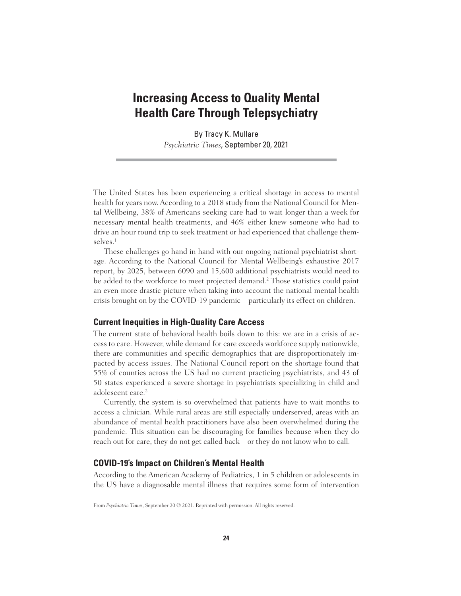## **Increasing Access to Quality Mental Health Care Through Telepsychiatry**

By Tracy K. Mullare *Psychiatric Times*, September 20, 2021

The United States has been experiencing a critical shortage in access to mental health for years now. According to a 2018 study from the National Council for Mental Wellbeing, 38% of Americans seeking care had to wait longer than a week for necessary mental health treatments, and 46% either knew someone who had to drive an hour round trip to seek treatment or had experienced that challenge themselves.<sup>1</sup>

These challenges go hand in hand with our ongoing national psychiatrist shortage. According to the National Council for Mental Wellbeing's exhaustive 2017 report, by 2025, between 6090 and 15,600 additional psychiatrists would need to be added to the workforce to meet projected demand.<sup>2</sup> Those statistics could paint an even more drastic picture when taking into account the national mental health crisis brought on by the COVID-19 pandemic—particularly its effect on children.

## **Current Inequities in High-Quality Care Access**

The current state of behavioral health boils down to this: we are in a crisis of access to care. However, while demand for care exceeds workforce supply nationwide, there are communities and specific demographics that are disproportionately impacted by access issues. The National Council report on the shortage found that 55% of counties across the US had no current practicing psychiatrists, and 43 of 50 states experienced a severe shortage in psychiatrists specializing in child and adolescent care.<sup>2</sup>

Currently, the system is so overwhelmed that patients have to wait months to access a clinician. While rural areas are still especially underserved, areas with an abundance of mental health practitioners have also been overwhelmed during the pandemic. This situation can be discouraging for families because when they do reach out for care, they do not get called back—or they do not know who to call.

## **COVID-19's Impact on Children's Mental Health**

According to the American Academy of Pediatrics, 1 in 5 children or adolescents in the US have a diagnosable mental illness that requires some form of intervention

From *Psychiatric Times*, September 20 © 2021. Reprinted with permission. All rights reserved.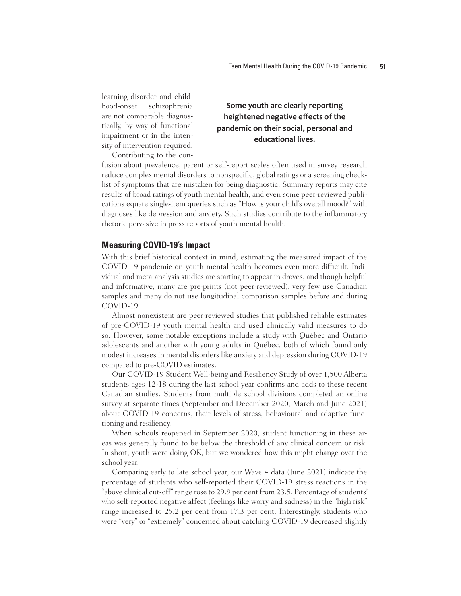learning disorder and childhood-onset schizophrenia are not comparable diagnostically, by way of functional impairment or in the intensity of intervention required.

## **Some youth are clearly reporting heightened negative effects of the pandemic on their social, personal and educational lives.**

Contributing to the con-

fusion about prevalence, parent or self-report scales often used in survey research reduce complex mental disorders to nonspecific, global ratings or a screening checklist of symptoms that are mistaken for being diagnostic. Summary reports may cite results of broad ratings of youth mental health, and even some peer-reviewed publications equate single-item queries such as "How is your child's overall mood?" with diagnoses like depression and anxiety. Such studies contribute to the inflammatory rhetoric pervasive in press reports of youth mental health.

## **Measuring COVID-19's Impact**

With this brief historical context in mind, estimating the measured impact of the COVID-19 pandemic on youth mental health becomes even more difficult. Individual and meta-analysis studies are starting to appear in droves, and though helpful and informative, many are pre-prints (not peer-reviewed), very few use Canadian samples and many do not use longitudinal comparison samples before and during COVID-19.

Almost nonexistent are peer-reviewed studies that published reliable estimates of pre-COVID-19 youth mental health and used clinically valid measures to do so. However, some notable exceptions include a study with Québec and Ontario adolescents and another with young adults in Québec, both of which found only modest increases in mental disorders like anxiety and depression during COVID-19 compared to pre-COVID estimates.

Our COVID-19 Student Well-being and Resiliency Study of over 1,500 Alberta students ages 12-18 during the last school year confirms and adds to these recent Canadian studies. Students from multiple school divisions completed an online survey at separate times (September and December 2020, March and June 2021) about COVID-19 concerns, their levels of stress, behavioural and adaptive functioning and resiliency.

When schools reopened in September 2020, student functioning in these areas was generally found to be below the threshold of any clinical concern or risk. In short, youth were doing OK, but we wondered how this might change over the school year.

Comparing early to late school year, our Wave 4 data (June 2021) indicate the percentage of students who self-reported their COVID-19 stress reactions in the "above clinical cut-off" range rose to 29.9 per cent from 23.5. Percentage of students' who self-reported negative affect (feelings like worry and sadness) in the "high risk" range increased to 25.2 per cent from 17.3 per cent. Interestingly, students who were "very" or "extremely" concerned about catching COVID-19 decreased slightly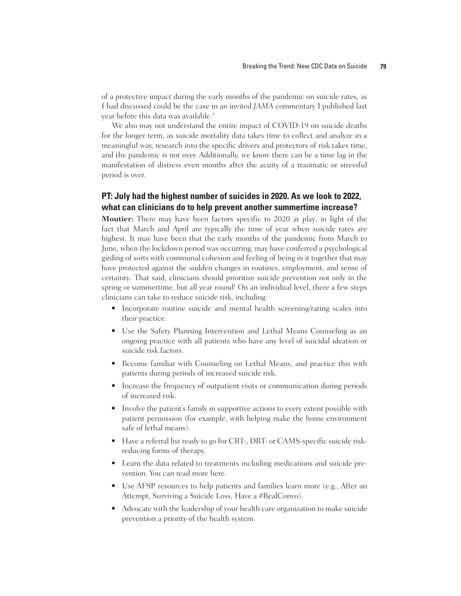of a protective impact during the early months of the pandemic on suicide rates, as I had discussed could be the case in an invited *JAMA* commentary I published last year before this data was available.<sup>3</sup>

We also may not understand the entire impact of COVID-19 on suicide deaths for the longer term, as suicide mortality data takes time to collect and analyze in a meaningful way, research into the specific drivers and protectors of risk takes time, and the pandemic is not over. Additionally, we know there can be a time lag in the manifestation of distress even months after the acuity of a traumatic or stressful period is over.

## **PT: July had the highest number of suicides in 2020. As we look to 2022, what can clinicians do to help prevent another summertime increase?**

**Moutier:** There may have been factors specific to 2020 at play, in light of the fact that March and April are typically the time of year when suicide rates are highest. It may have been that the early months of the pandemic from March to June, when the lockdown period was occurring, may have conferred a psychological girding of sorts with communal cohesion and feeling of being in it together that may have protected against the sudden changes in routines, employment, and sense of certainty. That said, clinicians should prioritize suicide prevention not only in the spring or summertime, but all year round! On an individual level, there a few steps clinicians can take to reduce suicide risk, including:

- Incorporate routine suicide and mental health screening/rating scales into their practice.
- Use the Safety Planning Intervention and Lethal Means Counseling as an ongoing practice with all patients who have any level of suicidal ideation or suicide risk factors.
- Become familiar with Counseling on Lethal Means, and practice this with patients during periods of increased suicide risk.
- Increase the frequency of outpatient visits or communication during periods of increased risk.
- Involve the patient's family in supportive actions to every extent possible with patient permission (for example, with helping make the home environment safe of lethal means).
- Have a referral list ready to go for CBT-, DBT- or CAMS-specific suicide riskreducing forms of therapy.
- Learn the data related to treatments including medications and suicide prevention. You can read more here.
- Use AFSP resources to help patients and families learn more (e.g., After an Attempt, Surviving a Suicide Loss, Have a #RealConvo).
- Advocate with the leadership of your health care organization to make suicide prevention a priority of the health system.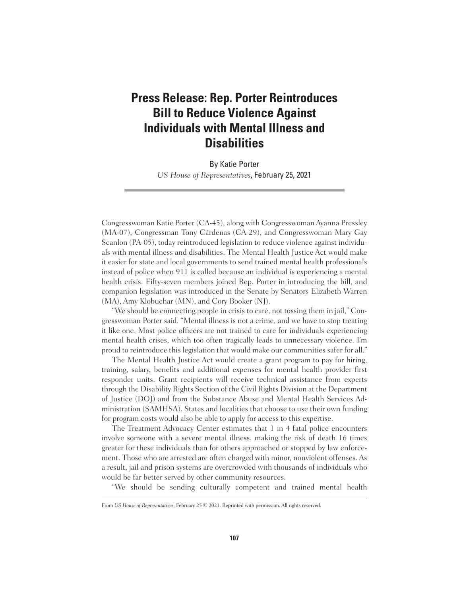# **Press Release: Rep. Porter Reintroduces Bill to Reduce Violence Against Individuals with Mental Illness and Disabilities**

By Katie Porter *US House of Representatives*, February 25, 2021

Congresswoman Katie Porter (CA-45), along with Congresswoman Ayanna Pressley (MA-07), Congressman Tony Cárdenas (CA-29), and Congresswoman Mary Gay Scanlon (PA-05), today reintroduced legislation to reduce violence against individuals with mental illness and disabilities. The Mental Health Justice Act would make it easier for state and local governments to send trained mental health professionals instead of police when 911 is called because an individual is experiencing a mental health crisis. Fifty-seven members joined Rep. Porter in introducing the bill, and companion legislation was introduced in the Senate by Senators Elizabeth Warren (MA), Amy Klobuchar (MN), and Cory Booker (NJ).

"We should be connecting people in crisis to care, not tossing them in jail," Congresswoman Porter said. "Mental illness is not a crime, and we have to stop treating it like one. Most police officers are not trained to care for individuals experiencing mental health crises, which too often tragically leads to unnecessary violence. I'm proud to reintroduce this legislation that would make our communities safer for all."

The Mental Health Justice Act would create a grant program to pay for hiring, training, salary, benefits and additional expenses for mental health provider first responder units. Grant recipients will receive technical assistance from experts through the Disability Rights Section of the Civil Rights Division at the Department of Justice (DOJ) and from the Substance Abuse and Mental Health Services Administration (SAMHSA). States and localities that choose to use their own funding for program costs would also be able to apply for access to this expertise.

The Treatment Advocacy Center estimates that 1 in 4 fatal police encounters involve someone with a severe mental illness, making the risk of death 16 times greater for these individuals than for others approached or stopped by law enforcement. Those who are arrested are often charged with minor, nonviolent offenses. As a result, jail and prison systems are overcrowded with thousands of individuals who would be far better served by other community resources.

"We should be sending culturally competent and trained mental health

From *US House of Representatives*, February 25 © 2021. Reprinted with permission. All rights reserved.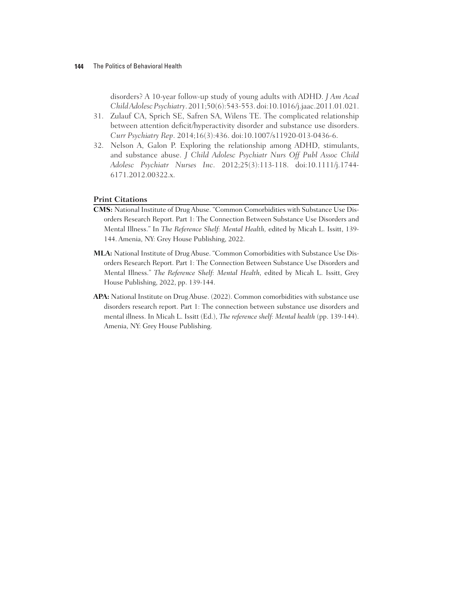## **144** The Politics of Behavioral Health

disorders? A 10-year follow-up study of young adults with ADHD. *J Am Acad Child Adolesc Psychiatry*. 2011;50(6):543-553. doi:10.1016/j.jaac.2011.01.021.

- 31. Zulauf CA, Sprich SE, Safren SA, Wilens TE. The complicated relationship between attention deficit/hyperactivity disorder and substance use disorders. *Curr Psychiatry Rep*. 2014;16(3):436. doi:10.1007/s11920-013-0436-6.
- 32. Nelson A, Galon P. Exploring the relationship among ADHD, stimulants, and substance abuse. *J Child Adolesc Psychiatr Nurs Off Publ Assoc Child Adolesc Psychiatr Nurses Inc*. 2012;25(3):113-118. doi:10.1111/j.1744- 6171.2012.00322.x.

## **Print Citations**

- **CMS:** National Institute of Drug Abuse. "Common Comorbidities with Substance Use Disorders Research Report. Part 1: The Connection Between Substance Use Disorders and Mental Illness." In *The Reference Shelf: Mental Health,* edited by Micah L. Issitt, 139- 144. Amenia, NY: Grey House Publishing, 2022.
- **MLA:** National Institute of Drug Abuse. "Common Comorbidities with Substance Use Disorders Research Report. Part 1: The Connection Between Substance Use Disorders and Mental Illness." *The Reference Shelf: Mental Health,* edited by Micah L. Issitt, Grey House Publishing, 2022, pp. 139-144.
- APA: National Institute on Drug Abuse. (2022). Common comorbidities with substance use disorders research report. Part 1: The connection between substance use disorders and mental illness. In Micah L. Issitt (Ed.), *The reference shelf: Mental health* (pp. 139-144). Amenia, NY: Grey House Publishing.